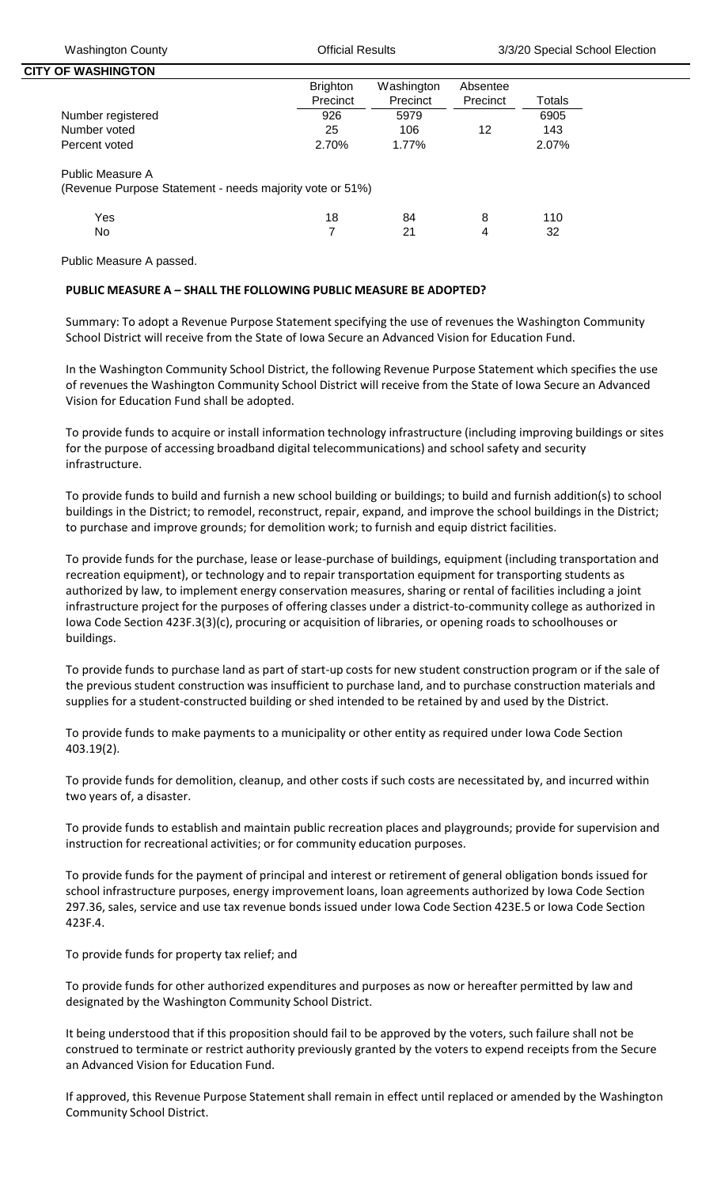| <b>CITY OF WASHINGTON</b>                                |                 |            |          |        |
|----------------------------------------------------------|-----------------|------------|----------|--------|
|                                                          | <b>Brighton</b> | Washington | Absentee |        |
|                                                          | Precinct        | Precinct   | Precinct | Totals |
| Number registered                                        | 926             | 5979       |          | 6905   |
| Number voted                                             | 25              | 106        | 12       | 143    |
| Percent voted                                            | 2.70%           | 1.77%      |          | 2.07%  |
| Public Measure A                                         |                 |            |          |        |
| (Revenue Purpose Statement - needs majority vote or 51%) |                 |            |          |        |

| Yes | 18 84 8 110 |  |
|-----|-------------|--|
| No. | 7 21 4 32   |  |

Public Measure A passed.

## **PUBLIC MEASURE A – SHALL THE FOLLOWING PUBLIC MEASURE BE ADOPTED?**

Summary: To adopt a Revenue Purpose Statement specifying the use of revenues the Washington Community School District will receive from the State of Iowa Secure an Advanced Vision for Education Fund.

In the Washington Community School District, the following Revenue Purpose Statement which specifies the use of revenues the Washington Community School District will receive from the State of Iowa Secure an Advanced Vision for Education Fund shall be adopted.

To provide funds to acquire or install information technology infrastructure (including improving buildings or sites for the purpose of accessing broadband digital telecommunications) and school safety and security infrastructure.

To provide funds to build and furnish a new school building or buildings; to build and furnish addition(s) to school buildings in the District; to remodel, reconstruct, repair, expand, and improve the school buildings in the District; to purchase and improve grounds; for demolition work; to furnish and equip district facilities.

To provide funds for the purchase, lease or lease-purchase of buildings, equipment (including transportation and recreation equipment), or technology and to repair transportation equipment for transporting students as authorized by law, to implement energy conservation measures, sharing or rental of facilities including a joint infrastructure project for the purposes of offering classes under a district-to-community college as authorized in Iowa Code Section 423F.3(3)(c), procuring or acquisition of libraries, or opening roads to schoolhouses or buildings.

To provide funds to purchase land as part of start-up costs for new student construction program or if the sale of the previous student construction was insufficient to purchase land, and to purchase construction materials and supplies for a student-constructed building or shed intended to be retained by and used by the District.

To provide funds to make payments to a municipality or other entity as required under Iowa Code Section 403.19(2).

To provide funds for demolition, cleanup, and other costs if such costs are necessitated by, and incurred within two years of, a disaster.

To provide funds to establish and maintain public recreation places and playgrounds; provide for supervision and instruction for recreational activities; or for community education purposes.

To provide funds for the payment of principal and interest or retirement of general obligation bonds issued for school infrastructure purposes, energy improvement loans, loan agreements authorized by Iowa Code Section 297.36, sales, service and use tax revenue bonds issued under Iowa Code Section 423E.5 or Iowa Code Section 423F.4.

To provide funds for property tax relief; and

To provide funds for other authorized expenditures and purposes as now or hereafter permitted by law and designated by the Washington Community School District.

It being understood that if this proposition should fail to be approved by the voters, such failure shall not be construed to terminate or restrict authority previously granted by the voters to expend receipts from the Secure an Advanced Vision for Education Fund.

If approved, this Revenue Purpose Statement shall remain in effect until replaced or amended by the Washington Community School District.